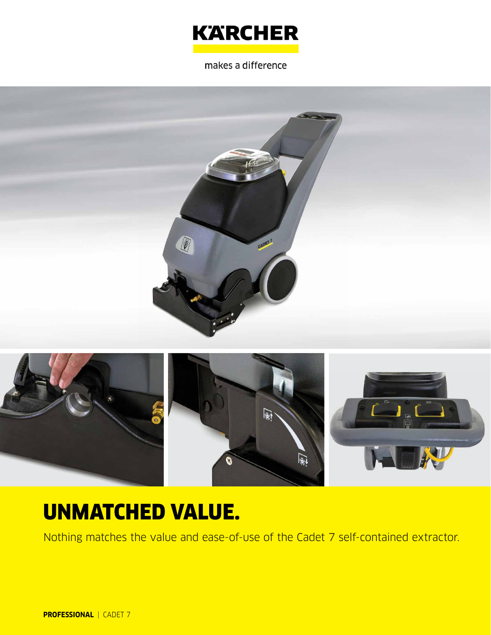

makes a difference





# UNMATCHED VALUE.

Nothing matches the value and ease-of-use of the Cadet 7 self-contained extractor.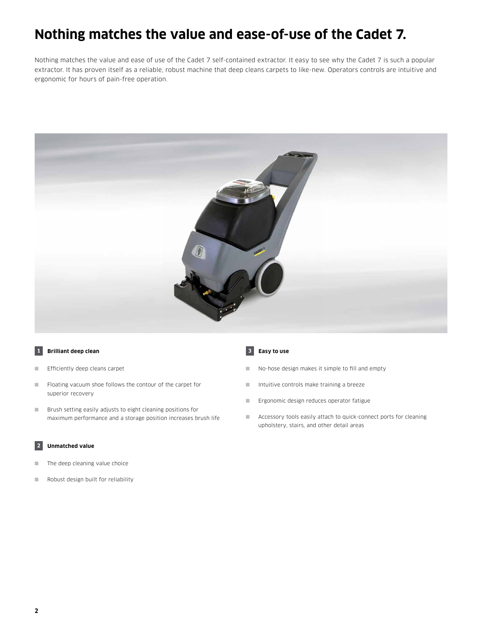### **Nothing matches the value and ease-of-use of the Cadet 7.**

Nothing matches the value and ease of use of the Cadet 7 self-contained extractor. It easy to see why the Cadet 7 is such a popular extractor. It has proven itself as a reliable, robust machine that deep cleans carpets to like-new. Operators controls are intuitive and ergonomic for hours of pain-free operation.



### **1 Brilliant deep clean**

- Efficiently deep cleans carpet
- Floating vacuum shoe follows the contour of the carpet for superior recovery
- Brush setting easily adjusts to eight cleaning positions for maximum performance and a storage position increases brush life

### **2 Unmatched value**

- The deep cleaning value choice
- Robust design built for reliability

#### **3 Easy to use**

- No-hose design makes it simple to fill and empty
- Intuitive controls make training a breeze
- Ergonomic design reduces operator fatigue
- Accessory tools easily attach to quick-connect ports for cleaning upholstery, stairs, and other detail areas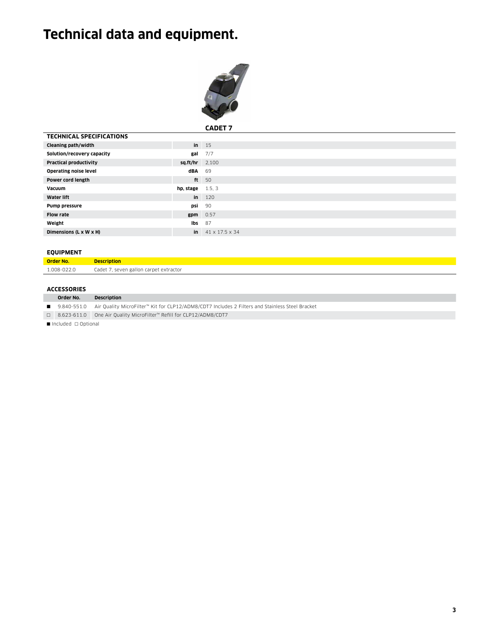## **Technical data and equipment.**



**CADET 7**

| <b>TECHNICAL SPECIFICATIONS</b> |                          |                               |
|---------------------------------|--------------------------|-------------------------------|
| Cleaning path/width             |                          | $in$ 15                       |
| Solution/recovery capacity      | gal                      | 7/7                           |
| <b>Practical productivity</b>   | $sq.fit/hr$ 2,100        |                               |
| <b>Operating noise level</b>    | dBA 69                   |                               |
| Power cord length               |                          | ft 50                         |
| Vacuum                          | <b>hp.</b> stage $1.5.3$ |                               |
| <b>Water lift</b>               |                          | $\ln 120$                     |
| Pump pressure                   |                          | <b>psi</b> 90                 |
| <b>Flow rate</b>                |                          | $gpm$ 0.57                    |
| Weight                          | lbs                      | - 87                          |
| Dimensions (L x W x H)          |                          | in $41 \times 17.5 \times 34$ |
|                                 |                          |                               |

### **EQUIPMENT**

| Order No.   | <b>Description</b>                     |
|-------------|----------------------------------------|
| 1.008-022.0 | Cadet 7, seven gallon carpet extractor |

### **ACCESSORIES**

|                                           | Order No. | <b>Description</b>                                                                                            |  |  |
|-------------------------------------------|-----------|---------------------------------------------------------------------------------------------------------------|--|--|
|                                           |           | ■ 9.840-551.0 Air Quality MicroFilter™ Kit for CLP12/ADM8/CDT7 Includes 2 Filters and Stainless Steel Bracket |  |  |
|                                           |           | □ 8.623-611.0 One Air Quality MicroFilter™ Refill for CLP12/ADM8/CDT7                                         |  |  |
| $\blacksquare$ Included $\sqcap$ Ontional |           |                                                                                                               |  |  |

■ Included □ Optional